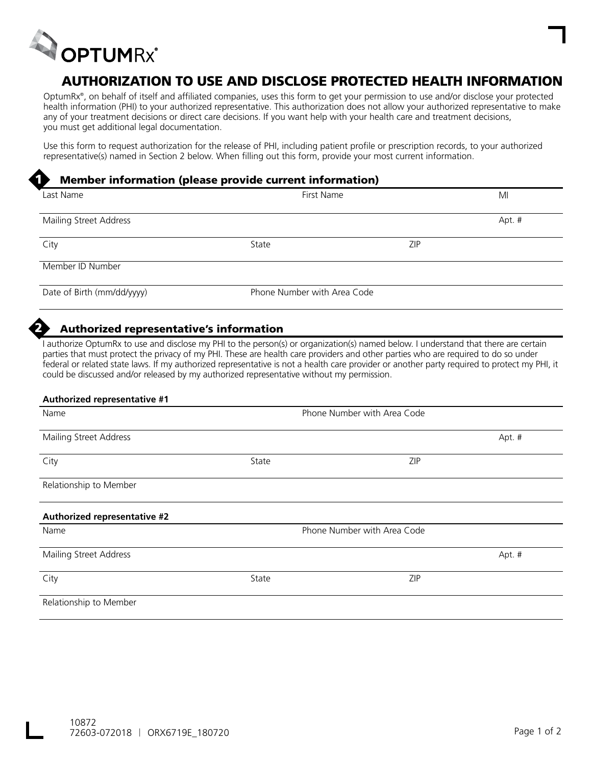

1

2

# AUTHORIZATION TO USE AND DISCLOSE PROTECTED HEALTH INFORMATION

OptumRx®, on behalf of itself and affiliated companies, uses this form to get your permission to use and/or disclose your protected health information (PHI) to your authorized representative. This authorization does not allow your authorized representative to make any of your treatment decisions or direct care decisions. If you want help with your health care and treatment decisions, you must get additional legal documentation.

Use this form to request authorization for the release of PHI, including patient profile or prescription records, to your authorized representative(s) named in Section 2 below. When filling out this form, provide your most current information.

### Member information (please provide current information)

| Last Name                  | First Name                  |            | MI     |
|----------------------------|-----------------------------|------------|--------|
| Mailing Street Address     |                             |            | Apt. # |
| City                       | State                       | <b>ZIP</b> |        |
| Member ID Number           |                             |            |        |
| Date of Birth (mm/dd/yyyy) | Phone Number with Area Code |            |        |

## Authorized representative's information

I authorize OptumRx to use and disclose my PHI to the person(s) or organization(s) named below. I understand that there are certain parties that must protect the privacy of my PHI. These are health care providers and other parties who are required to do so under federal or related state laws. If my authorized representative is not a health care provider or another party required to protect my PHI, it could be discussed and/or released by my authorized representative without my permission.

| <b>Authorized representative #1</b> |       |                             |        |
|-------------------------------------|-------|-----------------------------|--------|
| Name                                |       | Phone Number with Area Code |        |
| Mailing Street Address              |       |                             | Apt. # |
| City                                | State | ZIP                         |        |
| Relationship to Member              |       |                             |        |
| Authorized representative #2        |       |                             |        |
| Name                                |       | Phone Number with Area Code |        |
| Mailing Street Address              |       |                             | Apt. # |
| City                                | State | <b>ZIP</b>                  |        |
| Relationship to Member              |       |                             |        |